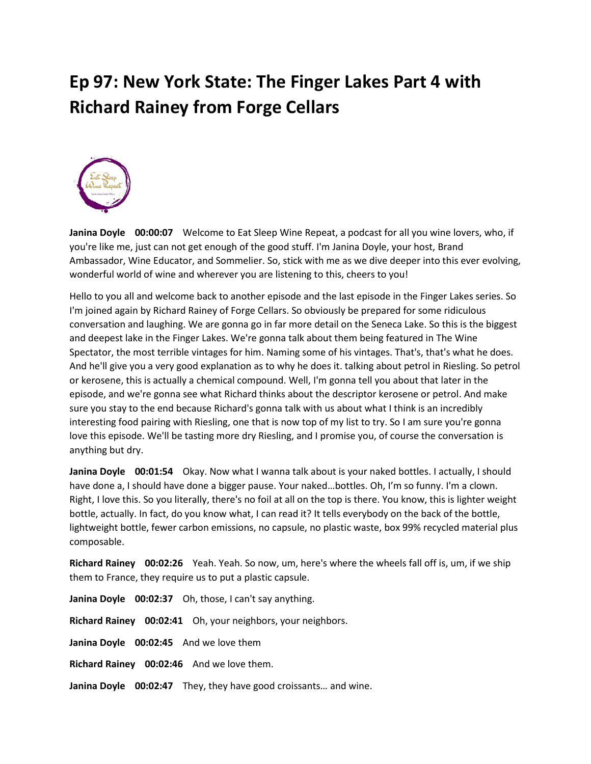## **Ep 97: New York State: The Finger Lakes Part 4 with Richard Rainey from Forge Cellars**



**Janina Doyle 00:00:07** Welcome to Eat Sleep Wine Repeat, a podcast for all you wine lovers, who, if you're like me, just can not get enough of the good stuff. I'm Janina Doyle, your host, Brand Ambassador, Wine Educator, and Sommelier. So, stick with me as we dive deeper into this ever evolving, wonderful world of wine and wherever you are listening to this, cheers to you!

Hello to you all and welcome back to another episode and the last episode in the Finger Lakes series. So I'm joined again by Richard Rainey of Forge Cellars. So obviously be prepared for some ridiculous conversation and laughing. We are gonna go in far more detail on the Seneca Lake. So this is the biggest and deepest lake in the Finger Lakes. We're gonna talk about them being featured in The Wine Spectator, the most terrible vintages for him. Naming some of his vintages. That's, that's what he does. And he'll give you a very good explanation as to why he does it. talking about petrol in Riesling. So petrol or kerosene, this is actually a chemical compound. Well, I'm gonna tell you about that later in the episode, and we're gonna see what Richard thinks about the descriptor kerosene or petrol. And make sure you stay to the end because Richard's gonna talk with us about what I think is an incredibly interesting food pairing with Riesling, one that is now top of my list to try. So I am sure you're gonna love this episode. We'll be tasting more dry Riesling, and I promise you, of course the conversation is anything but dry.

**Janina Doyle 00:01:54** Okay. Now what I wanna talk about is your naked bottles. I actually, I should have done a, I should have done a bigger pause. Your naked…bottles. Oh, I'm so funny. I'm a clown. Right, I love this. So you literally, there's no foil at all on the top is there. You know, this is lighter weight bottle, actually. In fact, do you know what, I can read it? It tells everybody on the back of the bottle, lightweight bottle, fewer carbon emissions, no capsule, no plastic waste, box 99% recycled material plus composable.

**Richard Rainey 00:02:26** Yeah. Yeah. So now, um, here's where the wheels fall off is, um, if we ship them to France, they require us to put a plastic capsule.

**Janina Doyle 00:02:37** Oh, those, I can't say anything. **Richard Rainey 00:02:41** Oh, your neighbors, your neighbors. **Janina Doyle 00:02:45** And we love them **Richard Rainey 00:02:46** And we love them. **Janina Doyle 00:02:47** They, they have good croissants… and wine.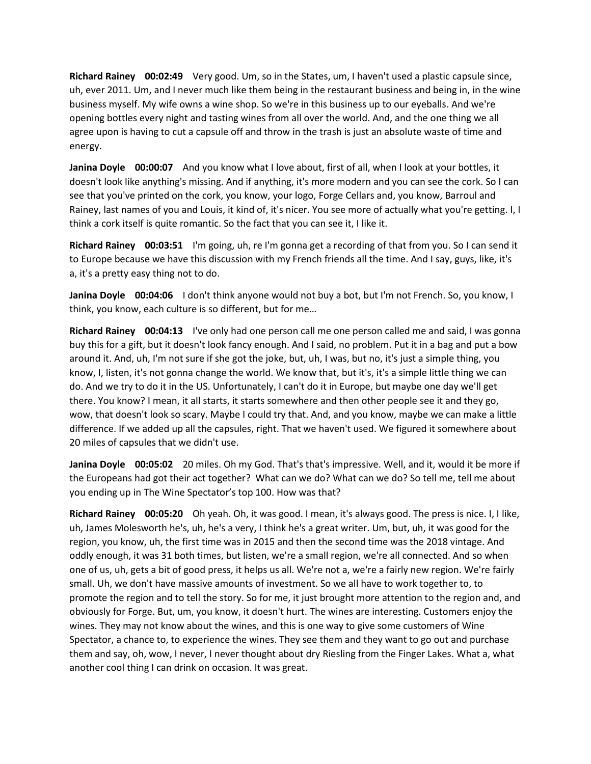**Richard Rainey 00:02:49** Very good. Um, so in the States, um, I haven't used a plastic capsule since, uh, ever 2011. Um, and I never much like them being in the restaurant business and being in, in the wine business myself. My wife owns a wine shop. So we're in this business up to our eyeballs. And we're opening bottles every night and tasting wines from all over the world. And, and the one thing we all agree upon is having to cut a capsule off and throw in the trash is just an absolute waste of time and energy.

**Janina Doyle 00:00:07** And you know what I love about, first of all, when I look at your bottles, it doesn't look like anything's missing. And if anything, it's more modern and you can see the cork. So I can see that you've printed on the cork, you know, your logo, Forge Cellars and, you know, Barroul and Rainey, last names of you and Louis, it kind of, it's nicer. You see more of actually what you're getting. I, I think a cork itself is quite romantic. So the fact that you can see it, I like it.

**Richard Rainey 00:03:51** I'm going, uh, re I'm gonna get a recording of that from you. So I can send it to Europe because we have this discussion with my French friends all the time. And I say, guys, like, it's a, it's a pretty easy thing not to do.

**Janina Doyle 00:04:06** I don't think anyone would not buy a bot, but I'm not French. So, you know, I think, you know, each culture is so different, but for me…

**Richard Rainey 00:04:13** I've only had one person call me one person called me and said, I was gonna buy this for a gift, but it doesn't look fancy enough. And I said, no problem. Put it in a bag and put a bow around it. And, uh, I'm not sure if she got the joke, but, uh, I was, but no, it's just a simple thing, you know, I, listen, it's not gonna change the world. We know that, but it's, it's a simple little thing we can do. And we try to do it in the US. Unfortunately, I can't do it in Europe, but maybe one day we'll get there. You know? I mean, it all starts, it starts somewhere and then other people see it and they go, wow, that doesn't look so scary. Maybe I could try that. And, and you know, maybe we can make a little difference. If we added up all the capsules, right. That we haven't used. We figured it somewhere about 20 miles of capsules that we didn't use.

**Janina Doyle 00:05:02** 20 miles. Oh my God. That's that's impressive. Well, and it, would it be more if the Europeans had got their act together? What can we do? What can we do? So tell me, tell me about you ending up in The Wine Spectator's top 100. How was that?

**Richard Rainey 00:05:20** Oh yeah. Oh, it was good. I mean, it's always good. The press is nice. I, I like, uh, James Molesworth he's, uh, he's a very, I think he's a great writer. Um, but, uh, it was good for the region, you know, uh, the first time was in 2015 and then the second time was the 2018 vintage. And oddly enough, it was 31 both times, but listen, we're a small region, we're all connected. And so when one of us, uh, gets a bit of good press, it helps us all. We're not a, we're a fairly new region. We're fairly small. Uh, we don't have massive amounts of investment. So we all have to work together to, to promote the region and to tell the story. So for me, it just brought more attention to the region and, and obviously for Forge. But, um, you know, it doesn't hurt. The wines are interesting. Customers enjoy the wines. They may not know about the wines, and this is one way to give some customers of Wine Spectator, a chance to, to experience the wines. They see them and they want to go out and purchase them and say, oh, wow, I never, I never thought about dry Riesling from the Finger Lakes. What a, what another cool thing I can drink on occasion. It was great.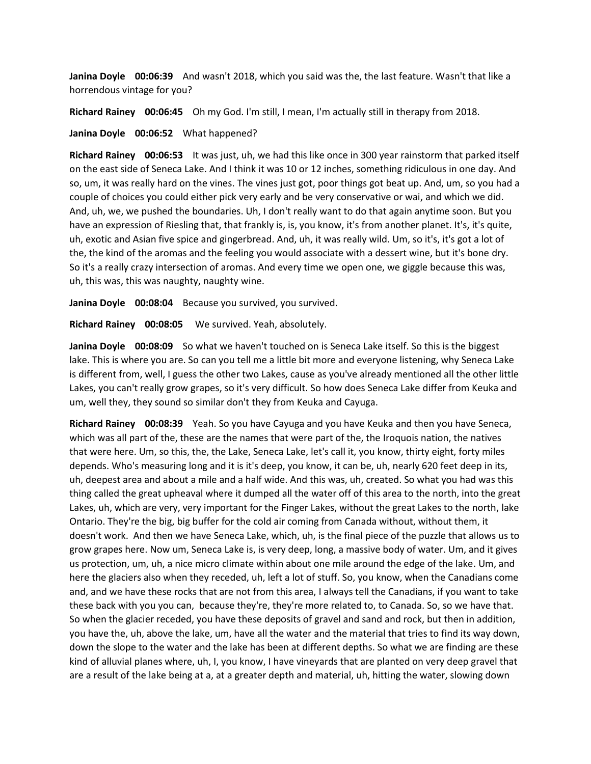**Janina Doyle 00:06:39** And wasn't 2018, which you said was the, the last feature. Wasn't that like a horrendous vintage for you?

**Richard Rainey 00:06:45** Oh my God. I'm still, I mean, I'm actually still in therapy from 2018.

## **Janina Doyle 00:06:52** What happened?

**Richard Rainey 00:06:53** It was just, uh, we had this like once in 300 year rainstorm that parked itself on the east side of Seneca Lake. And I think it was 10 or 12 inches, something ridiculous in one day. And so, um, it was really hard on the vines. The vines just got, poor things got beat up. And, um, so you had a couple of choices you could either pick very early and be very conservative or wai, and which we did. And, uh, we, we pushed the boundaries. Uh, I don't really want to do that again anytime soon. But you have an expression of Riesling that, that frankly is, is, you know, it's from another planet. It's, it's quite, uh, exotic and Asian five spice and gingerbread. And, uh, it was really wild. Um, so it's, it's got a lot of the, the kind of the aromas and the feeling you would associate with a dessert wine, but it's bone dry. So it's a really crazy intersection of aromas. And every time we open one, we giggle because this was, uh, this was, this was naughty, naughty wine.

**Janina Doyle 00:08:04** Because you survived, you survived.

**Richard Rainey 00:08:05** We survived. Yeah, absolutely.

**Janina Doyle 00:08:09** So what we haven't touched on is Seneca Lake itself. So this is the biggest lake. This is where you are. So can you tell me a little bit more and everyone listening, why Seneca Lake is different from, well, I guess the other two Lakes, cause as you've already mentioned all the other little Lakes, you can't really grow grapes, so it's very difficult. So how does Seneca Lake differ from Keuka and um, well they, they sound so similar don't they from Keuka and Cayuga.

**Richard Rainey 00:08:39** Yeah. So you have Cayuga and you have Keuka and then you have Seneca, which was all part of the, these are the names that were part of the, the Iroquois nation, the natives that were here. Um, so this, the, the Lake, Seneca Lake, let's call it, you know, thirty eight, forty miles depends. Who's measuring long and it is it's deep, you know, it can be, uh, nearly 620 feet deep in its, uh, deepest area and about a mile and a half wide. And this was, uh, created. So what you had was this thing called the great upheaval where it dumped all the water off of this area to the north, into the great Lakes, uh, which are very, very important for the Finger Lakes, without the great Lakes to the north, lake Ontario. They're the big, big buffer for the cold air coming from Canada without, without them, it doesn't work. And then we have Seneca Lake, which, uh, is the final piece of the puzzle that allows us to grow grapes here. Now um, Seneca Lake is, is very deep, long, a massive body of water. Um, and it gives us protection, um, uh, a nice micro climate within about one mile around the edge of the lake. Um, and here the glaciers also when they receded, uh, left a lot of stuff. So, you know, when the Canadians come and, and we have these rocks that are not from this area, I always tell the Canadians, if you want to take these back with you you can, because they're, they're more related to, to Canada. So, so we have that. So when the glacier receded, you have these deposits of gravel and sand and rock, but then in addition, you have the, uh, above the lake, um, have all the water and the material that tries to find its way down, down the slope to the water and the lake has been at different depths. So what we are finding are these kind of alluvial planes where, uh, I, you know, I have vineyards that are planted on very deep gravel that are a result of the lake being at a, at a greater depth and material, uh, hitting the water, slowing down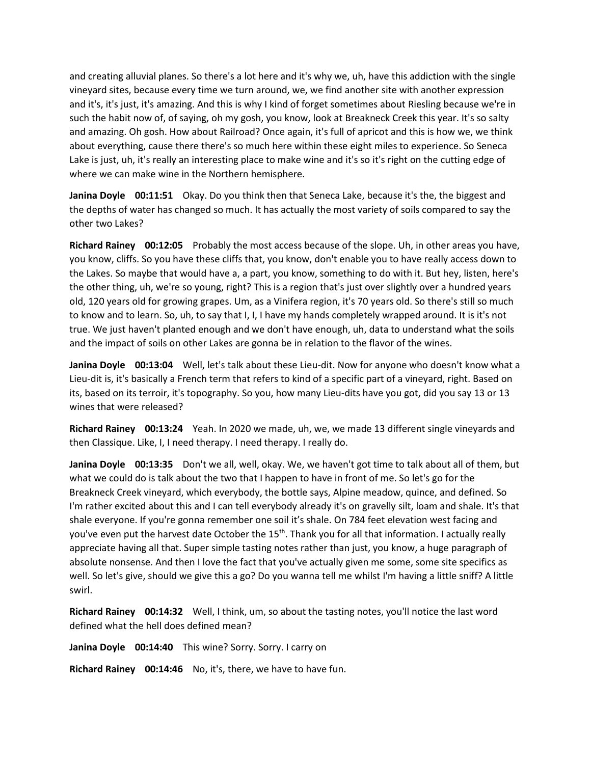and creating alluvial planes. So there's a lot here and it's why we, uh, have this addiction with the single vineyard sites, because every time we turn around, we, we find another site with another expression and it's, it's just, it's amazing. And this is why I kind of forget sometimes about Riesling because we're in such the habit now of, of saying, oh my gosh, you know, look at Breakneck Creek this year. It's so salty and amazing. Oh gosh. How about Railroad? Once again, it's full of apricot and this is how we, we think about everything, cause there there's so much here within these eight miles to experience. So Seneca Lake is just, uh, it's really an interesting place to make wine and it's so it's right on the cutting edge of where we can make wine in the Northern hemisphere.

**Janina Doyle 00:11:51** Okay. Do you think then that Seneca Lake, because it's the, the biggest and the depths of water has changed so much. It has actually the most variety of soils compared to say the other two Lakes?

**Richard Rainey 00:12:05** Probably the most access because of the slope. Uh, in other areas you have, you know, cliffs. So you have these cliffs that, you know, don't enable you to have really access down to the Lakes. So maybe that would have a, a part, you know, something to do with it. But hey, listen, here's the other thing, uh, we're so young, right? This is a region that's just over slightly over a hundred years old, 120 years old for growing grapes. Um, as a Vinifera region, it's 70 years old. So there's still so much to know and to learn. So, uh, to say that I, I, I have my hands completely wrapped around. It is it's not true. We just haven't planted enough and we don't have enough, uh, data to understand what the soils and the impact of soils on other Lakes are gonna be in relation to the flavor of the wines.

**Janina Doyle 00:13:04** Well, let's talk about these Lieu-dit. Now for anyone who doesn't know what a Lieu-dit is, it's basically a French term that refers to kind of a specific part of a vineyard, right. Based on its, based on its terroir, it's topography. So you, how many Lieu-dits have you got, did you say 13 or 13 wines that were released?

**Richard Rainey 00:13:24** Yeah. In 2020 we made, uh, we, we made 13 different single vineyards and then Classique. Like, I, I need therapy. I need therapy. I really do.

**Janina Doyle 00:13:35** Don't we all, well, okay. We, we haven't got time to talk about all of them, but what we could do is talk about the two that I happen to have in front of me. So let's go for the Breakneck Creek vineyard, which everybody, the bottle says, Alpine meadow, quince, and defined. So I'm rather excited about this and I can tell everybody already it's on gravelly silt, loam and shale. It's that shale everyone. If you're gonna remember one soil it's shale. On 784 feet elevation west facing and you've even put the harvest date October the 15<sup>th</sup>. Thank you for all that information. I actually really appreciate having all that. Super simple tasting notes rather than just, you know, a huge paragraph of absolute nonsense. And then I love the fact that you've actually given me some, some site specifics as well. So let's give, should we give this a go? Do you wanna tell me whilst I'm having a little sniff? A little swirl.

**Richard Rainey 00:14:32** Well, I think, um, so about the tasting notes, you'll notice the last word defined what the hell does defined mean?

**Janina Doyle 00:14:40** This wine? Sorry. Sorry. I carry on

**Richard Rainey 00:14:46** No, it's, there, we have to have fun.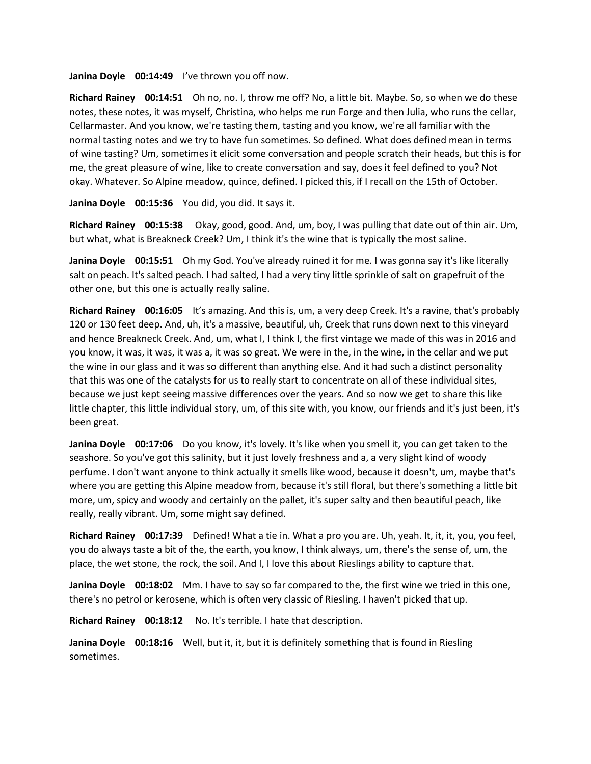**Janina Doyle 00:14:49** I've thrown you off now.

**Richard Rainey 00:14:51** Oh no, no. I, throw me off? No, a little bit. Maybe. So, so when we do these notes, these notes, it was myself, Christina, who helps me run Forge and then Julia, who runs the cellar, Cellarmaster. And you know, we're tasting them, tasting and you know, we're all familiar with the normal tasting notes and we try to have fun sometimes. So defined. What does defined mean in terms of wine tasting? Um, sometimes it elicit some conversation and people scratch their heads, but this is for me, the great pleasure of wine, like to create conversation and say, does it feel defined to you? Not okay. Whatever. So Alpine meadow, quince, defined. I picked this, if I recall on the 15th of October.

**Janina Doyle 00:15:36** You did, you did. It says it.

**Richard Rainey 00:15:38** Okay, good, good. And, um, boy, I was pulling that date out of thin air. Um, but what, what is Breakneck Creek? Um, I think it's the wine that is typically the most saline.

**Janina Doyle 00:15:51** Oh my God. You've already ruined it for me. I was gonna say it's like literally salt on peach. It's salted peach. I had salted, I had a very tiny little sprinkle of salt on grapefruit of the other one, but this one is actually really saline.

**Richard Rainey 00:16:05** It's amazing. And this is, um, a very deep Creek. It's a ravine, that's probably 120 or 130 feet deep. And, uh, it's a massive, beautiful, uh, Creek that runs down next to this vineyard and hence Breakneck Creek. And, um, what I, I think I, the first vintage we made of this was in 2016 and you know, it was, it was, it was a, it was so great. We were in the, in the wine, in the cellar and we put the wine in our glass and it was so different than anything else. And it had such a distinct personality that this was one of the catalysts for us to really start to concentrate on all of these individual sites, because we just kept seeing massive differences over the years. And so now we get to share this like little chapter, this little individual story, um, of this site with, you know, our friends and it's just been, it's been great.

**Janina Doyle 00:17:06** Do you know, it's lovely. It's like when you smell it, you can get taken to the seashore. So you've got this salinity, but it just lovely freshness and a, a very slight kind of woody perfume. I don't want anyone to think actually it smells like wood, because it doesn't, um, maybe that's where you are getting this Alpine meadow from, because it's still floral, but there's something a little bit more, um, spicy and woody and certainly on the pallet, it's super salty and then beautiful peach, like really, really vibrant. Um, some might say defined.

**Richard Rainey 00:17:39** Defined! What a tie in. What a pro you are. Uh, yeah. It, it, it, you, you feel, you do always taste a bit of the, the earth, you know, I think always, um, there's the sense of, um, the place, the wet stone, the rock, the soil. And I, I love this about Rieslings ability to capture that.

**Janina Doyle 00:18:02** Mm. I have to say so far compared to the, the first wine we tried in this one, there's no petrol or kerosene, which is often very classic of Riesling. I haven't picked that up.

**Richard Rainey 00:18:12** No. It's terrible. I hate that description.

**Janina Doyle 00:18:16** Well, but it, it, but it is definitely something that is found in Riesling sometimes.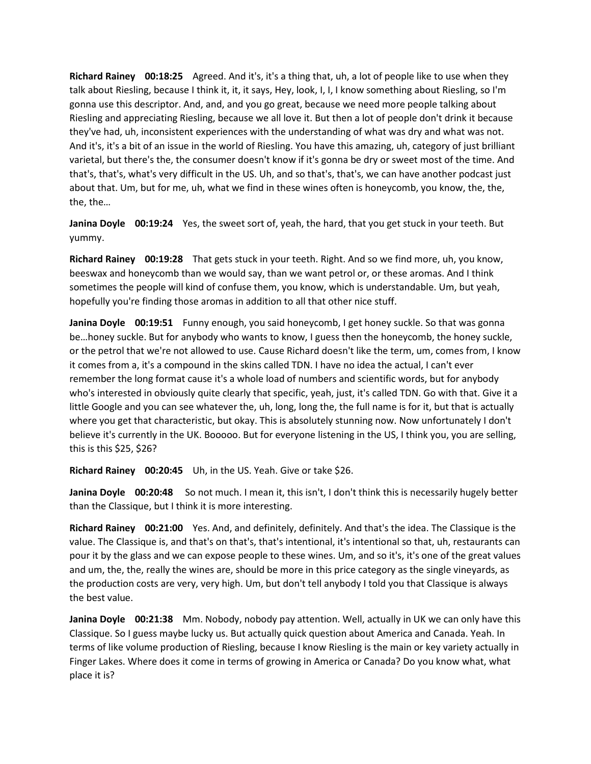**Richard Rainey 00:18:25** Agreed. And it's, it's a thing that, uh, a lot of people like to use when they talk about Riesling, because I think it, it, it says, Hey, look, I, I, I know something about Riesling, so I'm gonna use this descriptor. And, and, and you go great, because we need more people talking about Riesling and appreciating Riesling, because we all love it. But then a lot of people don't drink it because they've had, uh, inconsistent experiences with the understanding of what was dry and what was not. And it's, it's a bit of an issue in the world of Riesling. You have this amazing, uh, category of just brilliant varietal, but there's the, the consumer doesn't know if it's gonna be dry or sweet most of the time. And that's, that's, what's very difficult in the US. Uh, and so that's, that's, we can have another podcast just about that. Um, but for me, uh, what we find in these wines often is honeycomb, you know, the, the, the, the…

**Janina Doyle 00:19:24** Yes, the sweet sort of, yeah, the hard, that you get stuck in your teeth. But yummy.

**Richard Rainey 00:19:28** That gets stuck in your teeth. Right. And so we find more, uh, you know, beeswax and honeycomb than we would say, than we want petrol or, or these aromas. And I think sometimes the people will kind of confuse them, you know, which is understandable. Um, but yeah, hopefully you're finding those aromas in addition to all that other nice stuff.

**Janina Doyle 00:19:51** Funny enough, you said honeycomb, I get honey suckle. So that was gonna be…honey suckle. But for anybody who wants to know, I guess then the honeycomb, the honey suckle, or the petrol that we're not allowed to use. Cause Richard doesn't like the term, um, comes from, I know it comes from a, it's a compound in the skins called TDN. I have no idea the actual, I can't ever remember the long format cause it's a whole load of numbers and scientific words, but for anybody who's interested in obviously quite clearly that specific, yeah, just, it's called TDN. Go with that. Give it a little Google and you can see whatever the, uh, long, long the, the full name is for it, but that is actually where you get that characteristic, but okay. This is absolutely stunning now. Now unfortunately I don't believe it's currently in the UK. Booooo. But for everyone listening in the US, I think you, you are selling, this is this \$25, \$26?

**Richard Rainey 00:20:45** Uh, in the US. Yeah. Give or take \$26.

**Janina Doyle 00:20:48** So not much. I mean it, this isn't, I don't think this is necessarily hugely better than the Classique, but I think it is more interesting.

**Richard Rainey 00:21:00** Yes. And, and definitely, definitely. And that's the idea. The Classique is the value. The Classique is, and that's on that's, that's intentional, it's intentional so that, uh, restaurants can pour it by the glass and we can expose people to these wines. Um, and so it's, it's one of the great values and um, the, the, really the wines are, should be more in this price category as the single vineyards, as the production costs are very, very high. Um, but don't tell anybody I told you that Classique is always the best value.

**Janina Doyle 00:21:38** Mm. Nobody, nobody pay attention. Well, actually in UK we can only have this Classique. So I guess maybe lucky us. But actually quick question about America and Canada. Yeah. In terms of like volume production of Riesling, because I know Riesling is the main or key variety actually in Finger Lakes. Where does it come in terms of growing in America or Canada? Do you know what, what place it is?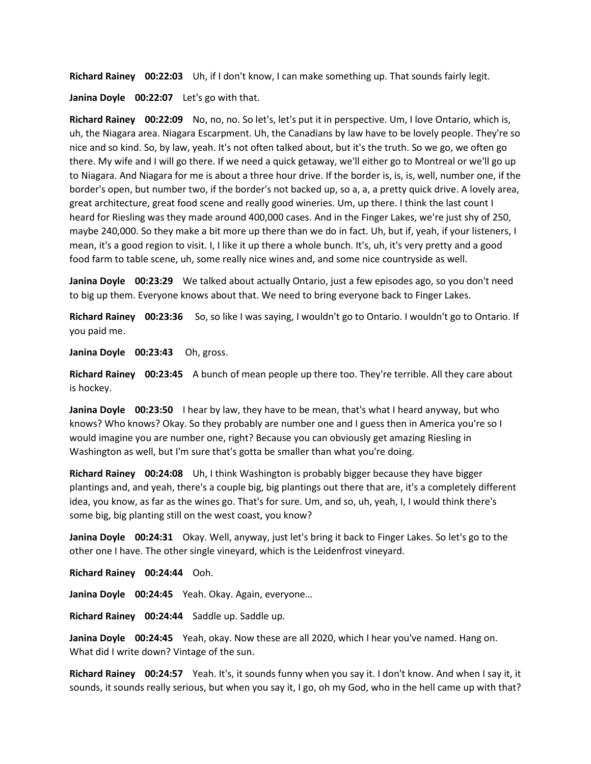**Richard Rainey 00:22:03** Uh, if I don't know, I can make something up. That sounds fairly legit.

**Janina Doyle 00:22:07** Let's go with that.

**Richard Rainey 00:22:09** No, no, no. So let's, let's put it in perspective. Um, I love Ontario, which is, uh, the Niagara area. Niagara Escarpment. Uh, the Canadians by law have to be lovely people. They're so nice and so kind. So, by law, yeah. It's not often talked about, but it's the truth. So we go, we often go there. My wife and I will go there. If we need a quick getaway, we'll either go to Montreal or we'll go up to Niagara. And Niagara for me is about a three hour drive. If the border is, is, is, well, number one, if the border's open, but number two, if the border's not backed up, so a, a, a pretty quick drive. A lovely area, great architecture, great food scene and really good wineries. Um, up there. I think the last count I heard for Riesling was they made around 400,000 cases. And in the Finger Lakes, we're just shy of 250, maybe 240,000. So they make a bit more up there than we do in fact. Uh, but if, yeah, if your listeners, I mean, it's a good region to visit. I, I like it up there a whole bunch. It's, uh, it's very pretty and a good food farm to table scene, uh, some really nice wines and, and some nice countryside as well.

**Janina Doyle 00:23:29** We talked about actually Ontario, just a few episodes ago, so you don't need to big up them. Everyone knows about that. We need to bring everyone back to Finger Lakes.

**Richard Rainey 00:23:36** So, so like I was saying, I wouldn't go to Ontario. I wouldn't go to Ontario. If you paid me.

**Janina Doyle 00:23:43** Oh, gross.

**Richard Rainey 00:23:45** A bunch of mean people up there too. They're terrible. All they care about is hockey.

**Janina Doyle 00:23:50** I hear by law, they have to be mean, that's what I heard anyway, but who knows? Who knows? Okay. So they probably are number one and I guess then in America you're so I would imagine you are number one, right? Because you can obviously get amazing Riesling in Washington as well, but I'm sure that's gotta be smaller than what you're doing.

**Richard Rainey 00:24:08** Uh, I think Washington is probably bigger because they have bigger plantings and, and yeah, there's a couple big, big plantings out there that are, it's a completely different idea, you know, as far as the wines go. That's for sure. Um, and so, uh, yeah, I, I would think there's some big, big planting still on the west coast, you know?

**Janina Doyle 00:24:31** Okay. Well, anyway, just let's bring it back to Finger Lakes. So let's go to the other one I have. The other single vineyard, which is the Leidenfrost vineyard.

**Richard Rainey 00:24:44** Ooh.

**Janina Doyle 00:24:45** Yeah. Okay. Again, everyone…

**Richard Rainey 00:24:44** Saddle up. Saddle up.

**Janina Doyle 00:24:45** Yeah, okay. Now these are all 2020, which I hear you've named. Hang on. What did I write down? Vintage of the sun.

**Richard Rainey 00:24:57** Yeah. It's, it sounds funny when you say it. I don't know. And when I say it, it sounds, it sounds really serious, but when you say it, I go, oh my God, who in the hell came up with that?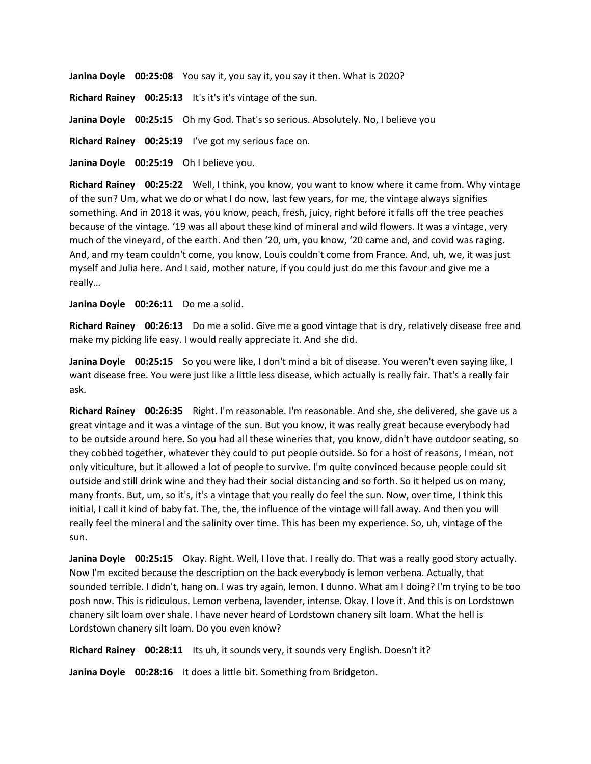**Janina Doyle 00:25:08** You say it, you say it, you say it then. What is 2020?

**Richard Rainey 00:25:13** It's it's it's vintage of the sun.

**Janina Doyle 00:25:15** Oh my God. That's so serious. Absolutely. No, I believe you

**Richard Rainey 00:25:19** I've got my serious face on.

**Janina Doyle 00:25:19** Oh I believe you.

**Richard Rainey 00:25:22** Well, I think, you know, you want to know where it came from. Why vintage of the sun? Um, what we do or what I do now, last few years, for me, the vintage always signifies something. And in 2018 it was, you know, peach, fresh, juicy, right before it falls off the tree peaches because of the vintage. '19 was all about these kind of mineral and wild flowers. It was a vintage, very much of the vineyard, of the earth. And then '20, um, you know, '20 came and, and covid was raging. And, and my team couldn't come, you know, Louis couldn't come from France. And, uh, we, it was just myself and Julia here. And I said, mother nature, if you could just do me this favour and give me a really…

## **Janina Doyle 00:26:11** Do me a solid.

**Richard Rainey 00:26:13** Do me a solid. Give me a good vintage that is dry, relatively disease free and make my picking life easy. I would really appreciate it. And she did.

**Janina Doyle 00:25:15** So you were like, I don't mind a bit of disease. You weren't even saying like, I want disease free. You were just like a little less disease, which actually is really fair. That's a really fair ask.

**Richard Rainey 00:26:35** Right. I'm reasonable. I'm reasonable. And she, she delivered, she gave us a great vintage and it was a vintage of the sun. But you know, it was really great because everybody had to be outside around here. So you had all these wineries that, you know, didn't have outdoor seating, so they cobbed together, whatever they could to put people outside. So for a host of reasons, I mean, not only viticulture, but it allowed a lot of people to survive. I'm quite convinced because people could sit outside and still drink wine and they had their social distancing and so forth. So it helped us on many, many fronts. But, um, so it's, it's a vintage that you really do feel the sun. Now, over time, I think this initial, I call it kind of baby fat. The, the, the influence of the vintage will fall away. And then you will really feel the mineral and the salinity over time. This has been my experience. So, uh, vintage of the sun.

**Janina Doyle 00:25:15** Okay. Right. Well, I love that. I really do. That was a really good story actually. Now I'm excited because the description on the back everybody is lemon verbena. Actually, that sounded terrible. I didn't, hang on. I was try again, lemon. I dunno. What am I doing? I'm trying to be too posh now. This is ridiculous. Lemon verbena, lavender, intense. Okay. I love it. And this is on Lordstown chanery silt loam over shale. I have never heard of Lordstown chanery silt loam. What the hell is Lordstown chanery silt loam. Do you even know?

**Richard Rainey 00:28:11** Its uh, it sounds very, it sounds very English. Doesn't it?

**Janina Doyle 00:28:16** It does a little bit. Something from Bridgeton.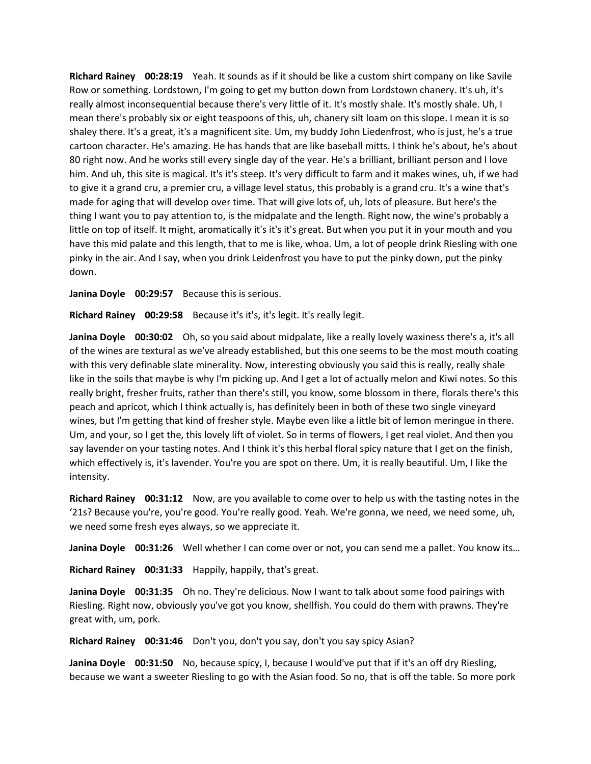**Richard Rainey 00:28:19** Yeah. It sounds as if it should be like a custom shirt company on like Savile Row or something. Lordstown, I'm going to get my button down from Lordstown chanery. It's uh, it's really almost inconsequential because there's very little of it. It's mostly shale. It's mostly shale. Uh, I mean there's probably six or eight teaspoons of this, uh, chanery silt loam on this slope. I mean it is so shaley there. It's a great, it's a magnificent site. Um, my buddy John Liedenfrost, who is just, he's a true cartoon character. He's amazing. He has hands that are like baseball mitts. I think he's about, he's about 80 right now. And he works still every single day of the year. He's a brilliant, brilliant person and I love him. And uh, this site is magical. It's it's steep. It's very difficult to farm and it makes wines, uh, if we had to give it a grand cru, a premier cru, a village level status, this probably is a grand cru. It's a wine that's made for aging that will develop over time. That will give lots of, uh, lots of pleasure. But here's the thing I want you to pay attention to, is the midpalate and the length. Right now, the wine's probably a little on top of itself. It might, aromatically it's it's it's great. But when you put it in your mouth and you have this mid palate and this length, that to me is like, whoa. Um, a lot of people drink Riesling with one pinky in the air. And I say, when you drink Leidenfrost you have to put the pinky down, put the pinky down.

**Janina Doyle 00:29:57** Because this is serious.

**Richard Rainey 00:29:58** Because it's it's, it's legit. It's really legit.

**Janina Doyle 00:30:02** Oh, so you said about midpalate, like a really lovely waxiness there's a, it's all of the wines are textural as we've already established, but this one seems to be the most mouth coating with this very definable slate minerality. Now, interesting obviously you said this is really, really shale like in the soils that maybe is why I'm picking up. And I get a lot of actually melon and Kiwi notes. So this really bright, fresher fruits, rather than there's still, you know, some blossom in there, florals there's this peach and apricot, which I think actually is, has definitely been in both of these two single vineyard wines, but I'm getting that kind of fresher style. Maybe even like a little bit of lemon meringue in there. Um, and your, so I get the, this lovely lift of violet. So in terms of flowers, I get real violet. And then you say lavender on your tasting notes. And I think it's this herbal floral spicy nature that I get on the finish, which effectively is, it's lavender. You're you are spot on there. Um, it is really beautiful. Um, I like the intensity.

**Richard Rainey 00:31:12** Now, are you available to come over to help us with the tasting notes in the '21s? Because you're, you're good. You're really good. Yeah. We're gonna, we need, we need some, uh, we need some fresh eyes always, so we appreciate it.

**Janina Doyle 00:31:26** Well whether I can come over or not, you can send me a pallet. You know its…

**Richard Rainey 00:31:33** Happily, happily, that's great.

**Janina Doyle 00:31:35** Oh no. They're delicious. Now I want to talk about some food pairings with Riesling. Right now, obviously you've got you know, shellfish. You could do them with prawns. They're great with, um, pork.

**Richard Rainey 00:31:46** Don't you, don't you say, don't you say spicy Asian?

**Janina Doyle 00:31:50** No, because spicy, I, because I would've put that if it's an off dry Riesling, because we want a sweeter Riesling to go with the Asian food. So no, that is off the table. So more pork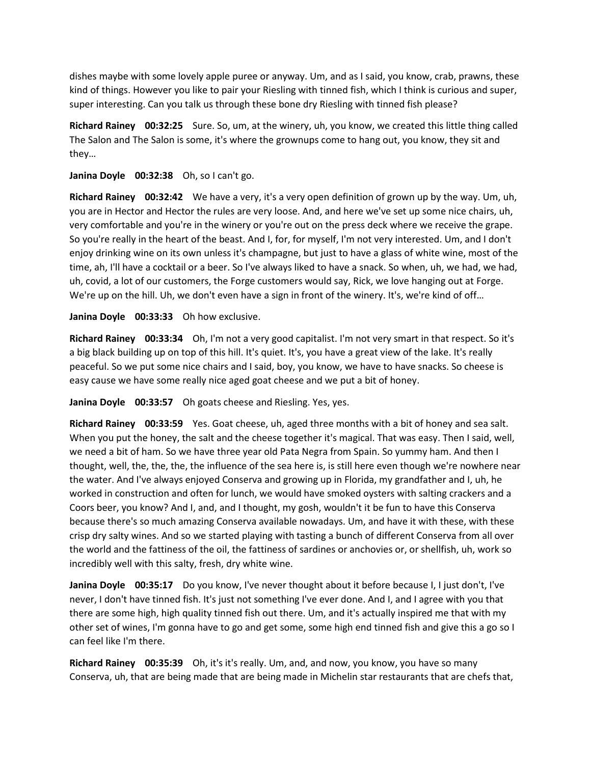dishes maybe with some lovely apple puree or anyway. Um, and as I said, you know, crab, prawns, these kind of things. However you like to pair your Riesling with tinned fish, which I think is curious and super, super interesting. Can you talk us through these bone dry Riesling with tinned fish please?

**Richard Rainey 00:32:25** Sure. So, um, at the winery, uh, you know, we created this little thing called The Salon and The Salon is some, it's where the grownups come to hang out, you know, they sit and they…

**Janina Doyle 00:32:38** Oh, so I can't go.

**Richard Rainey 00:32:42** We have a very, it's a very open definition of grown up by the way. Um, uh, you are in Hector and Hector the rules are very loose. And, and here we've set up some nice chairs, uh, very comfortable and you're in the winery or you're out on the press deck where we receive the grape. So you're really in the heart of the beast. And I, for, for myself, I'm not very interested. Um, and I don't enjoy drinking wine on its own unless it's champagne, but just to have a glass of white wine, most of the time, ah, I'll have a cocktail or a beer. So I've always liked to have a snack. So when, uh, we had, we had, uh, covid, a lot of our customers, the Forge customers would say, Rick, we love hanging out at Forge. We're up on the hill. Uh, we don't even have a sign in front of the winery. It's, we're kind of off...

**Janina Doyle 00:33:33** Oh how exclusive.

**Richard Rainey 00:33:34** Oh, I'm not a very good capitalist. I'm not very smart in that respect. So it's a big black building up on top of this hill. It's quiet. It's, you have a great view of the lake. It's really peaceful. So we put some nice chairs and I said, boy, you know, we have to have snacks. So cheese is easy cause we have some really nice aged goat cheese and we put a bit of honey.

**Janina Doyle 00:33:57** Oh goats cheese and Riesling. Yes, yes.

**Richard Rainey 00:33:59** Yes. Goat cheese, uh, aged three months with a bit of honey and sea salt. When you put the honey, the salt and the cheese together it's magical. That was easy. Then I said, well, we need a bit of ham. So we have three year old Pata Negra from Spain. So yummy ham. And then I thought, well, the, the, the, the influence of the sea here is, is still here even though we're nowhere near the water. And I've always enjoyed Conserva and growing up in Florida, my grandfather and I, uh, he worked in construction and often for lunch, we would have smoked oysters with salting crackers and a Coors beer, you know? And I, and, and I thought, my gosh, wouldn't it be fun to have this Conserva because there's so much amazing Conserva available nowadays. Um, and have it with these, with these crisp dry salty wines. And so we started playing with tasting a bunch of different Conserva from all over the world and the fattiness of the oil, the fattiness of sardines or anchovies or, or shellfish, uh, work so incredibly well with this salty, fresh, dry white wine.

**Janina Doyle 00:35:17** Do you know, I've never thought about it before because I, I just don't, I've never, I don't have tinned fish. It's just not something I've ever done. And I, and I agree with you that there are some high, high quality tinned fish out there. Um, and it's actually inspired me that with my other set of wines, I'm gonna have to go and get some, some high end tinned fish and give this a go so I can feel like I'm there.

**Richard Rainey 00:35:39** Oh, it's it's really. Um, and, and now, you know, you have so many Conserva, uh, that are being made that are being made in Michelin star restaurants that are chefs that,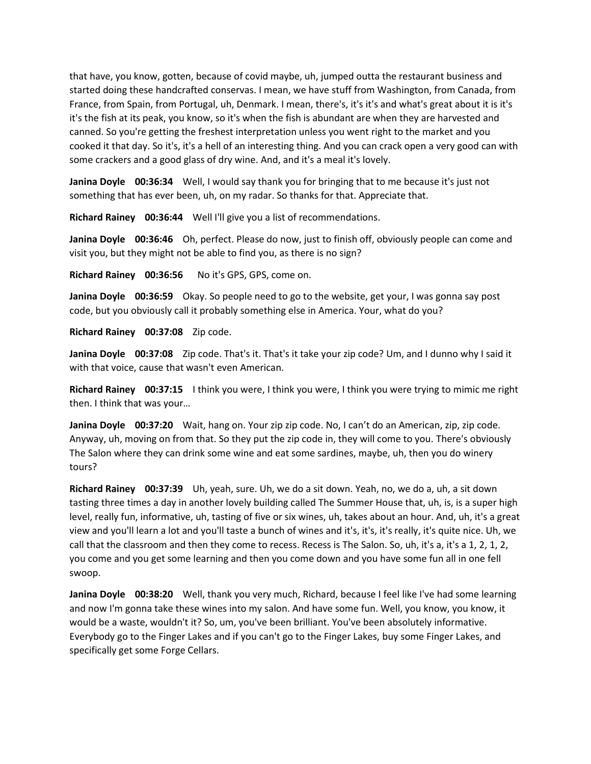that have, you know, gotten, because of covid maybe, uh, jumped outta the restaurant business and started doing these handcrafted conservas. I mean, we have stuff from Washington, from Canada, from France, from Spain, from Portugal, uh, Denmark. I mean, there's, it's it's and what's great about it is it's it's the fish at its peak, you know, so it's when the fish is abundant are when they are harvested and canned. So you're getting the freshest interpretation unless you went right to the market and you cooked it that day. So it's, it's a hell of an interesting thing. And you can crack open a very good can with some crackers and a good glass of dry wine. And, and it's a meal it's lovely.

**Janina Doyle 00:36:34** Well, I would say thank you for bringing that to me because it's just not something that has ever been, uh, on my radar. So thanks for that. Appreciate that.

**Richard Rainey 00:36:44** Well I'll give you a list of recommendations.

**Janina Doyle 00:36:46** Oh, perfect. Please do now, just to finish off, obviously people can come and visit you, but they might not be able to find you, as there is no sign?

**Richard Rainey 00:36:56** No it's GPS, GPS, come on.

**Janina Doyle 00:36:59** Okay. So people need to go to the website, get your, I was gonna say post code, but you obviously call it probably something else in America. Your, what do you?

**Richard Rainey 00:37:08** Zip code.

**Janina Doyle 00:37:08** Zip code. That's it. That's it take your zip code? Um, and I dunno why I said it with that voice, cause that wasn't even American.

**Richard Rainey 00:37:15** I think you were, I think you were, I think you were trying to mimic me right then. I think that was your…

**Janina Doyle 00:37:20** Wait, hang on. Your zip zip code. No, I can't do an American, zip, zip code. Anyway, uh, moving on from that. So they put the zip code in, they will come to you. There's obviously The Salon where they can drink some wine and eat some sardines, maybe, uh, then you do winery tours?

**Richard Rainey 00:37:39** Uh, yeah, sure. Uh, we do a sit down. Yeah, no, we do a, uh, a sit down tasting three times a day in another lovely building called The Summer House that, uh, is, is a super high level, really fun, informative, uh, tasting of five or six wines, uh, takes about an hour. And, uh, it's a great view and you'll learn a lot and you'll taste a bunch of wines and it's, it's, it's really, it's quite nice. Uh, we call that the classroom and then they come to recess. Recess is The Salon. So, uh, it's a, it's a 1, 2, 1, 2, you come and you get some learning and then you come down and you have some fun all in one fell swoop.

**Janina Doyle 00:38:20** Well, thank you very much, Richard, because I feel like I've had some learning and now I'm gonna take these wines into my salon. And have some fun. Well, you know, you know, it would be a waste, wouldn't it? So, um, you've been brilliant. You've been absolutely informative. Everybody go to the Finger Lakes and if you can't go to the Finger Lakes, buy some Finger Lakes, and specifically get some Forge Cellars.